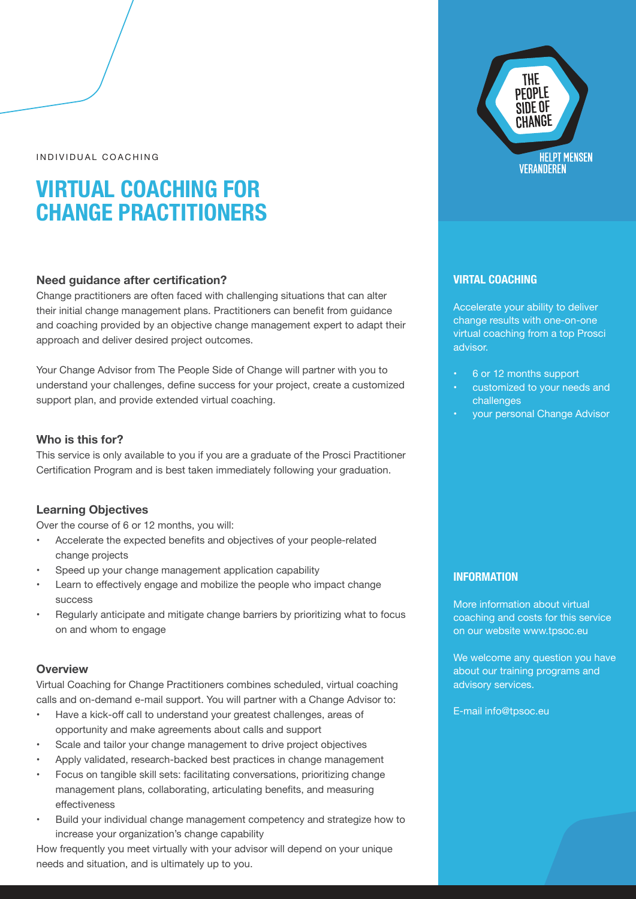INDIVIDUAL COACHING

# **VIRTUAL COACHING FOR CHANGE PRACTITIONERS**

# **Need guidance after certification?**

Change practitioners are often faced with challenging situations that can alter their initial change management plans. Practitioners can benefit from guidance and coaching provided by an objective change management expert to adapt their approach and deliver desired project outcomes.

Your Change Advisor from The People Side of Change will partner with you to understand your challenges, define success for your project, create a customized support plan, and provide extended virtual coaching.

## **Who is this for?**

This service is only available to you if you are a graduate of the Prosci Practitioner Certification Program and is best taken immediately following your graduation.

## **Learning Objectives**

Over the course of 6 or 12 months, you will:

- Accelerate the expected benefits and objectives of your people-related change projects
- Speed up your change management application capability
- Learn to effectively engage and mobilize the people who impact change success
- Regularly anticipate and mitigate change barriers by prioritizing what to focus on and whom to engage

### **Overview**

Virtual Coaching for Change Practitioners combines scheduled, virtual coaching calls and on-demand e-mail support. You will partner with a Change Advisor to:

- Have a kick-off call to understand your greatest challenges, areas of opportunity and make agreements about calls and support
- Scale and tailor your change management to drive project objectives
- Apply validated, research-backed best practices in change management
- Focus on tangible skill sets: facilitating conversations, prioritizing change management plans, collaborating, articulating benefits, and measuring effectiveness
- Build your individual change management competency and strategize how to increase your organization's change capability

How frequently you meet virtually with your advisor will depend on your unique needs and situation, and is ultimately up to you.



## **VIRTAL COACHING**

Accelerate your ability to deliver change results with one-on-one virtual coaching from a top Prosci advisor.

- 6 or 12 months support
- customized to your needs and challenges
- your personal Change Advisor

## **INFORMATION**

More information about virtual coaching and costs for this service on our website www.tpsoc.eu

We welcome any question you have about our training programs and advisory services.

E-mail info@tpsoc.eu